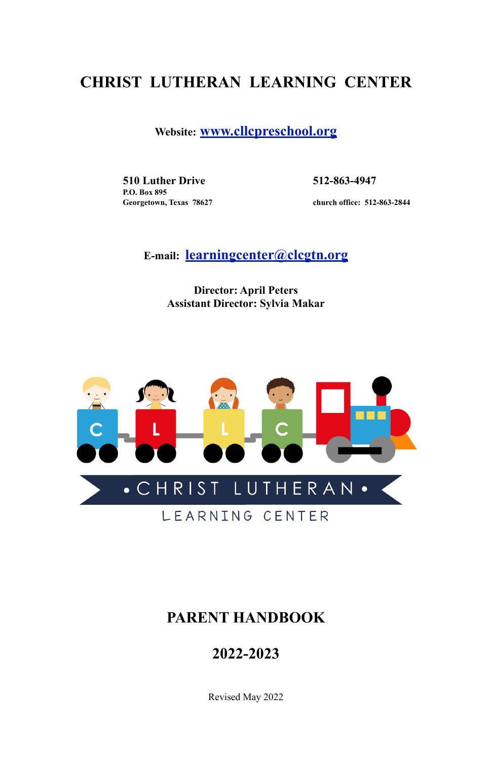## **CHRIST LUTHERAN LEARNING CENTER**

**Website: [www.cllcpreschool.org](http://www.cllcpreschool.org)**

**510 Luther Drive 512-863-4947 P.O. Box 895** 

 **Georgetown, Texas 78627 church office: 512-863-2844** 

**E-mail: [learningcenter@clcgtn.org](mailto:learningcenter@clcgtn.org)**

**Director: April Peters Assistant Director: Sylvia Makar**



## **PARENT HANDBOOK**

## **2022-2023**

Revised May 2022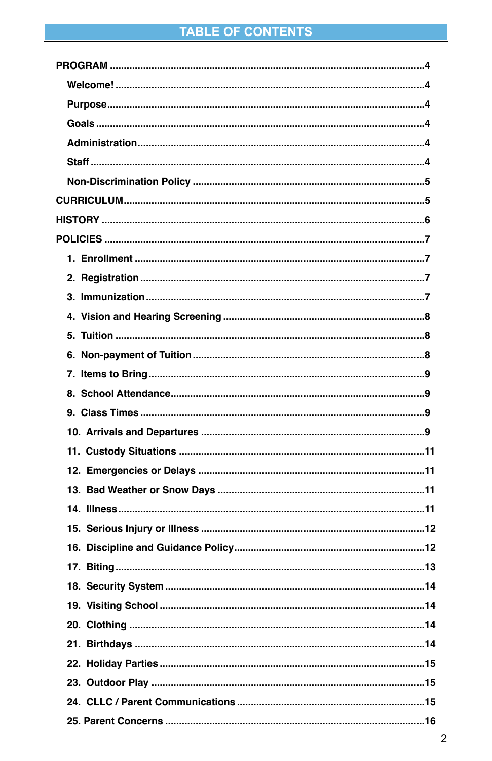## TABLE OF CONTENTS

| .8 |
|----|
|    |
|    |
|    |
|    |
|    |
|    |
|    |
|    |
|    |
|    |
|    |
|    |
|    |
|    |
|    |
|    |
|    |
|    |
|    |
|    |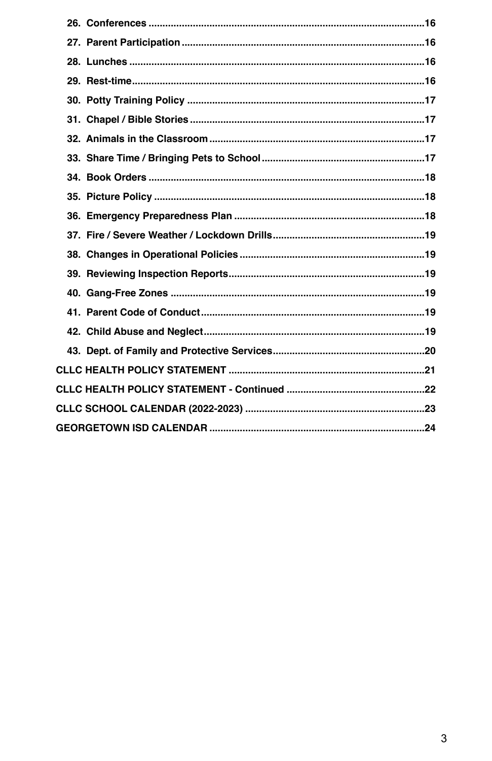| 40. Gang-Free Zones | 19 |
|---------------------|----|
|                     |    |
|                     |    |
|                     |    |
|                     |    |
|                     |    |
|                     |    |
|                     |    |

 $\mathbf{3}$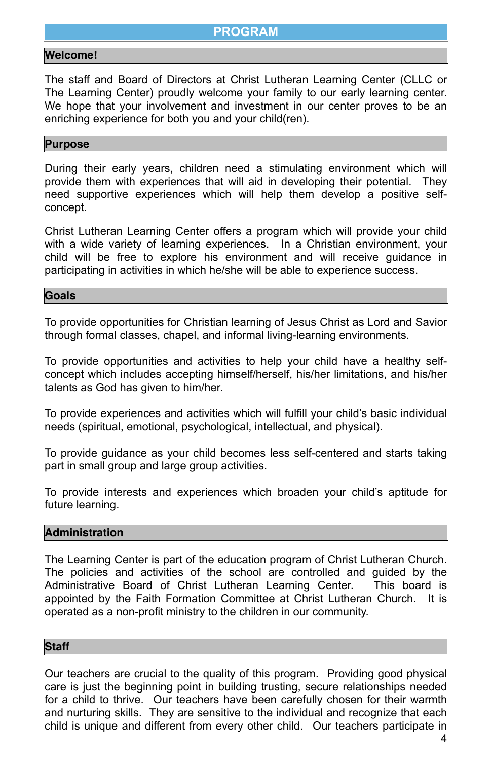## <span id="page-3-0"></span>**PROGRAM**

#### <span id="page-3-1"></span>**Welcome!**

The staff and Board of Directors at Christ Lutheran Learning Center (CLLC or The Learning Center) proudly welcome your family to our early learning center. We hope that your involvement and investment in our center proves to be an enriching experience for both you and your child(ren).

#### <span id="page-3-2"></span>**Purpose**

During their early years, children need a stimulating environment which will provide them with experiences that will aid in developing their potential. They need supportive experiences which will help them develop a positive selfconcept.

Christ Lutheran Learning Center offers a program which will provide your child with a wide variety of learning experiences. In a Christian environment, your child will be free to explore his environment and will receive guidance in participating in activities in which he/she will be able to experience success.

#### <span id="page-3-3"></span>**Goals**

To provide opportunities for Christian learning of Jesus Christ as Lord and Savior through formal classes, chapel, and informal living-learning environments.

To provide opportunities and activities to help your child have a healthy selfconcept which includes accepting himself/herself, his/her limitations, and his/her talents as God has given to him/her.

To provide experiences and activities which will fulfill your child's basic individual needs (spiritual, emotional, psychological, intellectual, and physical).

To provide guidance as your child becomes less self-centered and starts taking part in small group and large group activities.

To provide interests and experiences which broaden your child's aptitude for future learning.

#### <span id="page-3-4"></span>**Administration**

The Learning Center is part of the education program of Christ Lutheran Church. The policies and activities of the school are controlled and guided by the Administrative Board of Christ Lutheran Learning Center. This board is appointed by the Faith Formation Committee at Christ Lutheran Church. It is operated as a non-profit ministry to the children in our community.

#### <span id="page-3-5"></span>**Staff**

Our teachers are crucial to the quality of this program. Providing good physical care is just the beginning point in building trusting, secure relationships needed for a child to thrive. Our teachers have been carefully chosen for their warmth and nurturing skills. They are sensitive to the individual and recognize that each child is unique and different from every other child. Our teachers participate in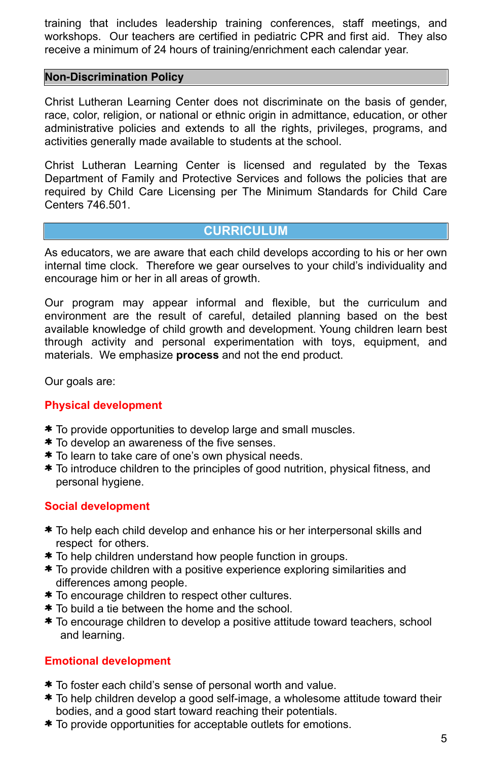training that includes leadership training conferences, staff meetings, and workshops. Our teachers are certified in pediatric CPR and first aid. They also receive a minimum of 24 hours of training/enrichment each calendar year.

#### <span id="page-4-0"></span>**Non-Discrimination Policy**

Christ Lutheran Learning Center does not discriminate on the basis of gender, race, color, religion, or national or ethnic origin in admittance, education, or other administrative policies and extends to all the rights, privileges, programs, and activities generally made available to students at the school.

Christ Lutheran Learning Center is licensed and regulated by the Texas Department of Family and Protective Services and follows the policies that are required by Child Care Licensing per The Minimum Standards for Child Care Centers 746.501.

## <span id="page-4-1"></span>**CURRICULUM**

- \* To provide opportunities to develop large and small muscles.
- \* To develop an awareness of the five senses.
- \* To learn to take care of one's own physical needs.
- \* To introduce children to the principles of good nutrition, physical fitness, and personal hygiene.

As educators, we are aware that each child develops according to his or her own internal time clock. Therefore we gear ourselves to your child's individuality and encourage him or her in all areas of growth.

- \* To help each child develop and enhance his or her interpersonal skills and respect for others.
- \* To help children understand how people function in groups.
- 
- \* To provide children with a positive experience exploring similarities and differences among people.
- \* To encourage children to respect other cultures.
- \* To build a tie between the home and the school.
- \* To encourage children to develop a positive attitude toward teachers, school and learning.

Our program may appear informal and flexible, but the curriculum and environment are the result of careful, detailed planning based on the best available knowledge of child growth and development. Young children learn best through activity and personal experimentation with toys, equipment, and materials. We emphasize **process** and not the end product.

Our goals are:

#### **Physical development**

#### **Social development**

#### **Emotional development**

- \* To foster each child's sense of personal worth and value.
- \* To help children develop a good self-image, a wholesome attitude toward their bodies, and a good start toward reaching their potentials.
- \* To provide opportunities for acceptable outlets for emotions.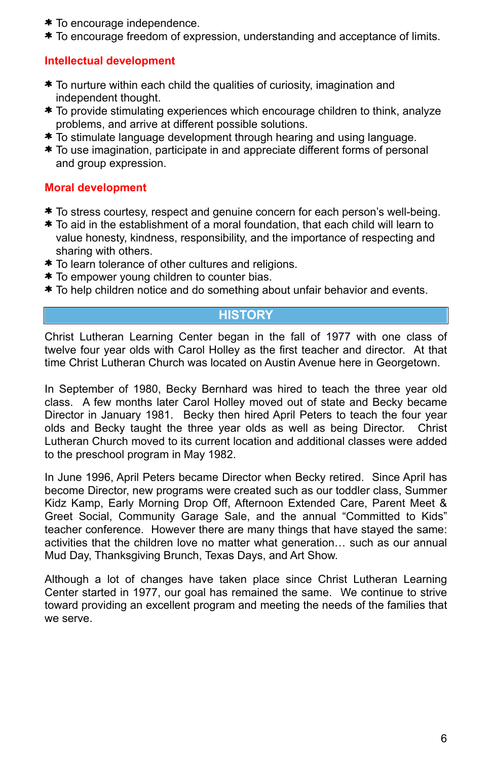- \* To encourage independence.
- \* To encourage freedom of expression, understanding and acceptance of limits.

#### **Intellectual development**

- \* To nurture within each child the qualities of curiosity, imagination and independent thought.
- \* To provide stimulating experiences which encourage children to think, analyze problems, and arrive at different possible solutions.
- \* To stimulate language development through hearing and using language.
- \* To use imagination, participate in and appreciate different forms of personal and group expression.

## **Moral development**

- \* To stress courtesy, respect and genuine concern for each person's well-being.
- \* To aid in the establishment of a moral foundation, that each child will learn to value honesty, kindness, responsibility, and the importance of respecting and sharing with others.
- \* To learn tolerance of other cultures and religions.
- \* To empower young children to counter bias.
- \* To help children notice and do something about unfair behavior and events.

## <span id="page-5-0"></span>**HISTORY**

Christ Lutheran Learning Center began in the fall of 1977 with one class of twelve four year olds with Carol Holley as the first teacher and director. At that time Christ Lutheran Church was located on Austin Avenue here in Georgetown.

In September of 1980, Becky Bernhard was hired to teach the three year old class. A few months later Carol Holley moved out of state and Becky became Director in January 1981. Becky then hired April Peters to teach the four year olds and Becky taught the three year olds as well as being Director. Christ Lutheran Church moved to its current location and additional classes were added to the preschool program in May 1982.

In June 1996, April Peters became Director when Becky retired. Since April has become Director, new programs were created such as our toddler class, Summer Kidz Kamp, Early Morning Drop Off, Afternoon Extended Care, Parent Meet & Greet Social, Community Garage Sale, and the annual "Committed to Kids" teacher conference. However there are many things that have stayed the same: activities that the children love no matter what generation… such as our annual Mud Day, Thanksgiving Brunch, Texas Days, and Art Show.

Although a lot of changes have taken place since Christ Lutheran Learning Center started in 1977, our goal has remained the same. We continue to strive toward providing an excellent program and meeting the needs of the families that we serve.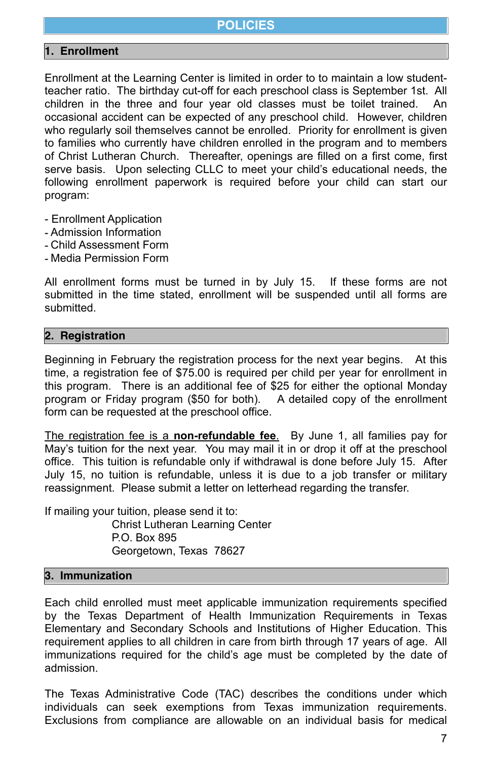## <span id="page-6-0"></span>**POLICIES**

#### <span id="page-6-1"></span>**1. Enrollment**

Enrollment at the Learning Center is limited in order to to maintain a low studentteacher ratio. The birthday cut-off for each preschool class is September 1st. All children in the three and four year old classes must be toilet trained. An occasional accident can be expected of any preschool child. However, children who regularly soil themselves cannot be enrolled. Priority for enrollment is given to families who currently have children enrolled in the program and to members of Christ Lutheran Church. Thereafter, openings are filled on a first come, first serve basis. Upon selecting CLLC to meet your child's educational needs, the following enrollment paperwork is required before your child can start our program:

- Enrollment Application
- Admission Information
- Child Assessment Form
- Media Permission Form

All enrollment forms must be turned in by July 15. If these forms are not submitted in the time stated, enrollment will be suspended until all forms are submitted.

## <span id="page-6-2"></span>**2. Registration**

Beginning in February the registration process for the next year begins. At this time, a registration fee of \$75.00 is required per child per year for enrollment in this program. There is an additional fee of \$25 for either the optional Monday program or Friday program (\$50 for both). A detailed copy of the enrollment form can be requested at the preschool office.

The registration fee is a **non-refundable fee**. By June 1, all families pay for May's tuition for the next year. You may mail it in or drop it off at the preschool office. This tuition is refundable only if withdrawal is done before July 15. After July 15, no tuition is refundable, unless it is due to a job transfer or military reassignment. Please submit a letter on letterhead regarding the transfer.

If mailing your tuition, please send it to: Christ Lutheran Learning Center P.O. Box 895 Georgetown, Texas 78627

#### <span id="page-6-3"></span>**3. Immunization**

Each child enrolled must meet applicable immunization requirements specified by the Texas Department of Health Immunization Requirements in Texas Elementary and Secondary Schools and Institutions of Higher Education. This requirement applies to all children in care from birth through 17 years of age. All immunizations required for the child's age must be completed by the date of admission.

The Texas Administrative Code (TAC) describes the conditions under which individuals can seek exemptions from Texas immunization requirements. Exclusions from compliance are allowable on an individual basis for medical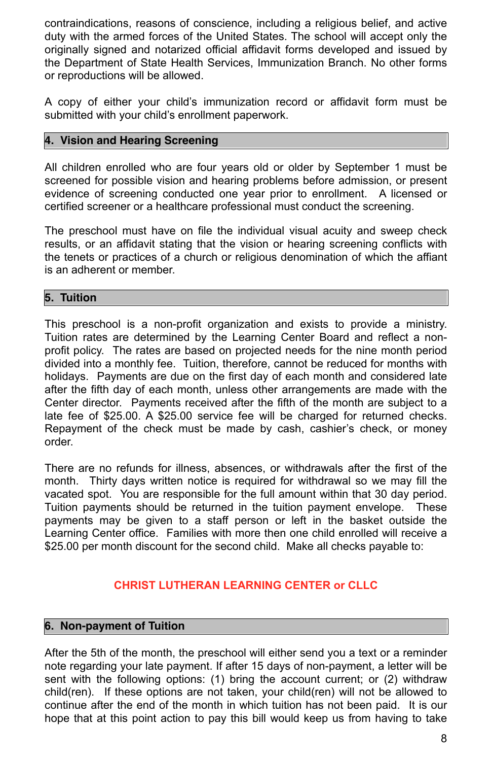contraindications, reasons of conscience, including a religious belief, and active duty with the armed forces of the United States. The school will accept only the originally signed and notarized official affidavit forms developed and issued by the Department of State Health Services, Immunization Branch. No other forms or reproductions will be allowed.

A copy of either your child's immunization record or affidavit form must be submitted with your child's enrollment paperwork.

### <span id="page-7-0"></span>**4. Vision and Hearing Screening**

All children enrolled who are four years old or older by September 1 must be screened for possible vision and hearing problems before admission, or present evidence of screening conducted one year prior to enrollment. A licensed or certified screener or a healthcare professional must conduct the screening.

The preschool must have on file the individual visual acuity and sweep check results, or an affidavit stating that the vision or hearing screening conflicts with the tenets or practices of a church or religious denomination of which the affiant is an adherent or member.

#### <span id="page-7-1"></span>**5. Tuition**

This preschool is a non-profit organization and exists to provide a ministry. Tuition rates are determined by the Learning Center Board and reflect a nonprofit policy. The rates are based on projected needs for the nine month period divided into a monthly fee. Tuition, therefore, cannot be reduced for months with holidays. Payments are due on the first day of each month and considered late after the fifth day of each month, unless other arrangements are made with the Center director. Payments received after the fifth of the month are subject to a late fee of \$25.00. A \$25.00 service fee will be charged for returned checks. Repayment of the check must be made by cash, cashier's check, or money order.

There are no refunds for illness, absences, or withdrawals after the first of the month. Thirty days written notice is required for withdrawal so we may fill the vacated spot. You are responsible for the full amount within that 30 day period. Tuition payments should be returned in the tuition payment envelope. These payments may be given to a staff person or left in the basket outside the Learning Center office. Families with more then one child enrolled will receive a \$25.00 per month discount for the second child. Make all checks payable to:

#### **CHRIST LUTHERAN LEARNING CENTER or CLLC**

#### <span id="page-7-2"></span>**6. Non-payment of Tuition**

After the 5th of the month, the preschool will either send you a text or a reminder note regarding your late payment. If after 15 days of non-payment, a letter will be sent with the following options: (1) bring the account current; or (2) withdraw child(ren). If these options are not taken, your child(ren) will not be allowed to continue after the end of the month in which tuition has not been paid. It is our hope that at this point action to pay this bill would keep us from having to take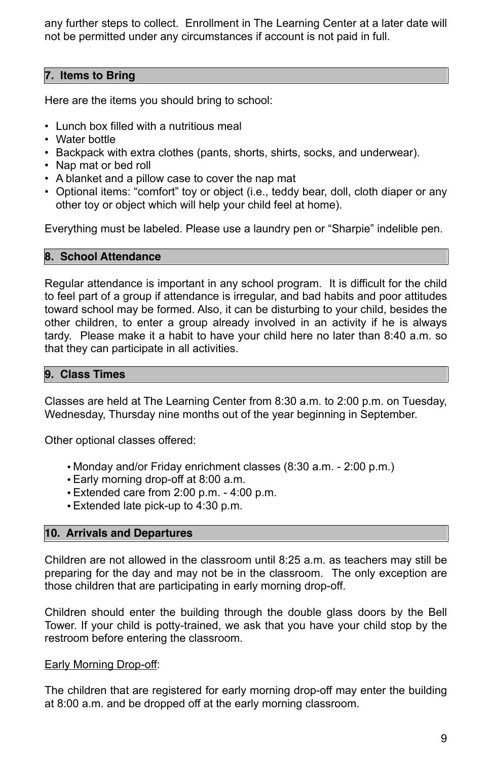any further steps to collect. Enrollment in The Learning Center at a later date will not be permitted under any circumstances if account is not paid in full.

#### <span id="page-8-0"></span>**7. Items to Bring**

Here are the items you should bring to school:

- Lunch box filled with a nutritious meal
- Water bottle
- Backpack with extra clothes (pants, shorts, shirts, socks, and underwear).
- Nap mat or bed roll
- A blanket and a pillow case to cover the nap mat
- Optional items: "comfort" toy or object (i.e., teddy bear, doll, cloth diaper or any other toy or object which will help your child feel at home).

Everything must be labeled. Please use a laundry pen or "Sharpie" indelible pen.

#### <span id="page-8-1"></span>**8. School Attendance**

Regular attendance is important in any school program. It is difficult for the child to feel part of a group if attendance is irregular, and bad habits and poor attitudes toward school may be formed. Also, it can be disturbing to your child, besides the other children, to enter a group already involved in an activity if he is always tardy. Please make it a habit to have your child here no later than 8:40 a.m. so that they can participate in all activities.

#### <span id="page-8-2"></span>**9. Class Times**

Classes are held at The Learning Center from 8:30 a.m. to 2:00 p.m. on Tuesday, Wednesday, Thursday nine months out of the year beginning in September.

Other optional classes offered:

- Monday and/or Friday enrichment classes (8:30 a.m. 2:00 p.m.)
- Early morning drop-off at 8:00 a.m.
- Extended care from 2:00 p.m. 4:00 p.m.
- Extended late pick-up to 4:30 p.m.

#### <span id="page-8-3"></span>**10. Arrivals and Departures**

Children are not allowed in the classroom until 8:25 a.m. as teachers may still be preparing for the day and may not be in the classroom. The only exception are those children that are participating in early morning drop-off.

Children should enter the building through the double glass doors by the Bell Tower. If your child is potty-trained, we ask that you have your child stop by the restroom before entering the classroom.

#### Early Morning Drop-off:

The children that are registered for early morning drop-off may enter the building at 8:00 a.m. and be dropped off at the early morning classroom.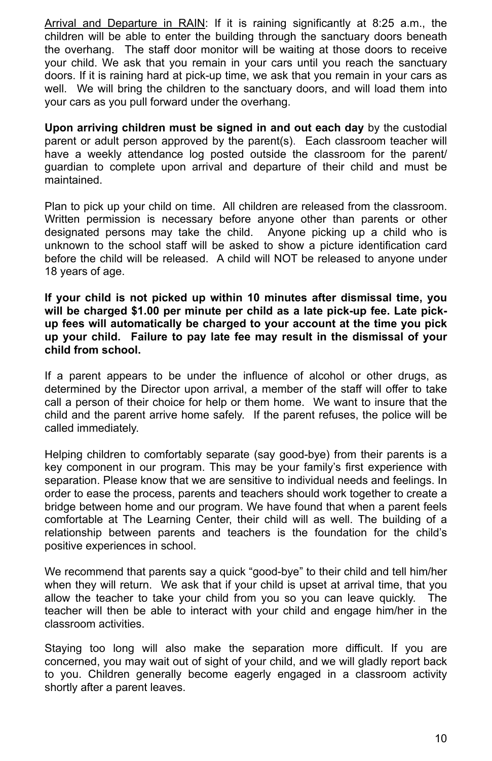Arrival and Departure in RAIN: If it is raining significantly at 8:25 a.m., the children will be able to enter the building through the sanctuary doors beneath the overhang. The staff door monitor will be waiting at those doors to receive your child. We ask that you remain in your cars until you reach the sanctuary doors. If it is raining hard at pick-up time, we ask that you remain in your cars as well. We will bring the children to the sanctuary doors, and will load them into your cars as you pull forward under the overhang.

**Upon arriving children must be signed in and out each day** by the custodial parent or adult person approved by the parent(s). Each classroom teacher will have a weekly attendance log posted outside the classroom for the parent/ guardian to complete upon arrival and departure of their child and must be maintained.

Plan to pick up your child on time. All children are released from the classroom. Written permission is necessary before anyone other than parents or other designated persons may take the child. Anyone picking up a child who is unknown to the school staff will be asked to show a picture identification card before the child will be released. A child will NOT be released to anyone under 18 years of age.

**If your child is not picked up within 10 minutes after dismissal time, you will be charged \$1.00 per minute per child as a late pick-up fee. Late pickup fees will automatically be charged to your account at the time you pick up your child. Failure to pay late fee may result in the dismissal of your child from school.** 

If a parent appears to be under the influence of alcohol or other drugs, as determined by the Director upon arrival, a member of the staff will offer to take call a person of their choice for help or them home. We want to insure that the child and the parent arrive home safely. If the parent refuses, the police will be called immediately.

Helping children to comfortably separate (say good-bye) from their parents is a key component in our program. This may be your family's first experience with separation. Please know that we are sensitive to individual needs and feelings. In order to ease the process, parents and teachers should work together to create a bridge between home and our program. We have found that when a parent feels comfortable at The Learning Center, their child will as well. The building of a relationship between parents and teachers is the foundation for the child's positive experiences in school.

We recommend that parents say a quick "good-bye" to their child and tell him/her when they will return. We ask that if your child is upset at arrival time, that you allow the teacher to take your child from you so you can leave quickly. The teacher will then be able to interact with your child and engage him/her in the classroom activities.

Staying too long will also make the separation more difficult. If you are concerned, you may wait out of sight of your child, and we will gladly report back to you. Children generally become eagerly engaged in a classroom activity shortly after a parent leaves.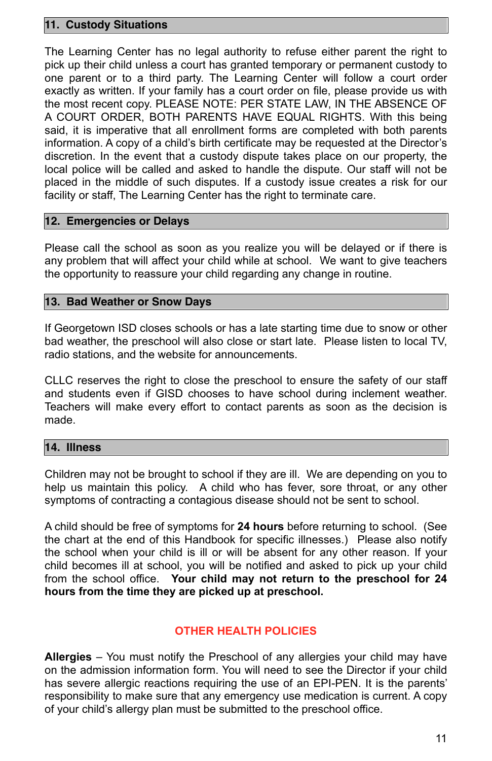#### <span id="page-10-0"></span>**11. Custody Situations**

The Learning Center has no legal authority to refuse either parent the right to pick up their child unless a court has granted temporary or permanent custody to one parent or to a third party. The Learning Center will follow a court order exactly as written. If your family has a court order on file, please provide us with the most recent copy. PLEASE NOTE: PER STATE LAW, IN THE ABSENCE OF A COURT ORDER, BOTH PARENTS HAVE EQUAL RIGHTS. With this being said, it is imperative that all enrollment forms are completed with both parents information. A copy of a child's birth certificate may be requested at the Director's discretion. In the event that a custody dispute takes place on our property, the local police will be called and asked to handle the dispute. Our staff will not be placed in the middle of such disputes. If a custody issue creates a risk for our facility or staff, The Learning Center has the right to terminate care.

#### <span id="page-10-1"></span>**12. Emergencies or Delays**

Please call the school as soon as you realize you will be delayed or if there is any problem that will affect your child while at school. We want to give teachers the opportunity to reassure your child regarding any change in routine.

#### <span id="page-10-2"></span>**13. Bad Weather or Snow Days**

If Georgetown ISD closes schools or has a late starting time due to snow or other bad weather, the preschool will also close or start late. Please listen to local TV, radio stations, and the website for announcements.

CLLC reserves the right to close the preschool to ensure the safety of our staff and students even if GISD chooses to have school during inclement weather. Teachers will make every effort to contact parents as soon as the decision is made.

#### <span id="page-10-3"></span>**14. Illness**

Children may not be brought to school if they are ill. We are depending on you to help us maintain this policy. A child who has fever, sore throat, or any other symptoms of contracting a contagious disease should not be sent to school.

A child should be free of symptoms for **24 hours** before returning to school. (See the chart at the end of this Handbook for specific illnesses.) Please also notify the school when your child is ill or will be absent for any other reason. If your child becomes ill at school, you will be notified and asked to pick up your child from the school office. **Your child may not return to the preschool for 24 hours from the time they are picked up at preschool.** 

## **OTHER HEALTH POLICIES**

**Allergies** – You must notify the Preschool of any allergies your child may have on the admission information form. You will need to see the Director if your child has severe allergic reactions requiring the use of an EPI-PEN. It is the parents' responsibility to make sure that any emergency use medication is current. A copy of your child's allergy plan must be submitted to the preschool office.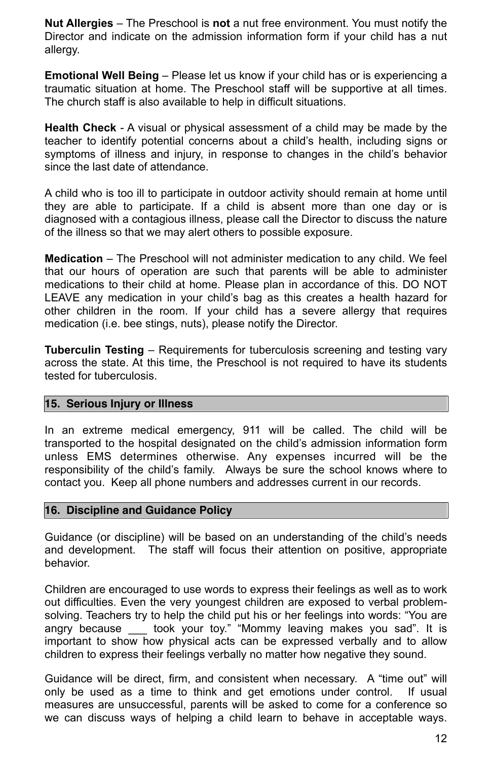**Nut Allergies** – The Preschool is **not** a nut free environment. You must notify the Director and indicate on the admission information form if your child has a nut allergy.

**Emotional Well Being** – Please let us know if your child has or is experiencing a traumatic situation at home. The Preschool staff will be supportive at all times. The church staff is also available to help in difficult situations.

**Health Check** - A visual or physical assessment of a child may be made by the teacher to identify potential concerns about a child's health, including signs or symptoms of illness and injury, in response to changes in the child's behavior since the last date of attendance.

A child who is too ill to participate in outdoor activity should remain at home until they are able to participate. If a child is absent more than one day or is diagnosed with a contagious illness, please call the Director to discuss the nature of the illness so that we may alert others to possible exposure.

**Medication** – The Preschool will not administer medication to any child. We feel that our hours of operation are such that parents will be able to administer medications to their child at home. Please plan in accordance of this. DO NOT LEAVE any medication in your child's bag as this creates a health hazard for other children in the room. If your child has a severe allergy that requires medication (i.e. bee stings, nuts), please notify the Director.

**Tuberculin Testing** – Requirements for tuberculosis screening and testing vary across the state. At this time, the Preschool is not required to have its students tested for tuberculosis.

#### <span id="page-11-0"></span>**15. Serious Injury or Illness**

In an extreme medical emergency, 911 will be called. The child will be transported to the hospital designated on the child's admission information form unless EMS determines otherwise. Any expenses incurred will be the responsibility of the child's family. Always be sure the school knows where to contact you. Keep all phone numbers and addresses current in our records.

#### <span id="page-11-1"></span>**16. Discipline and Guidance Policy**

Guidance (or discipline) will be based on an understanding of the child's needs and development. The staff will focus their attention on positive, appropriate behavior.

Children are encouraged to use words to express their feelings as well as to work out difficulties. Even the very youngest children are exposed to verbal problemsolving. Teachers try to help the child put his or her feelings into words: "You are angry because \_\_\_ took your toy." "Mommy leaving makes you sad". It is important to show how physical acts can be expressed verbally and to allow children to express their feelings verbally no matter how negative they sound.

Guidance will be direct, firm, and consistent when necessary. Α "time out" will only be used as a time to think and get emotions under control. If usual measures are unsuccessful, parents will be asked to come for a conference so we can discuss ways of helping a child learn to behave in acceptable ways.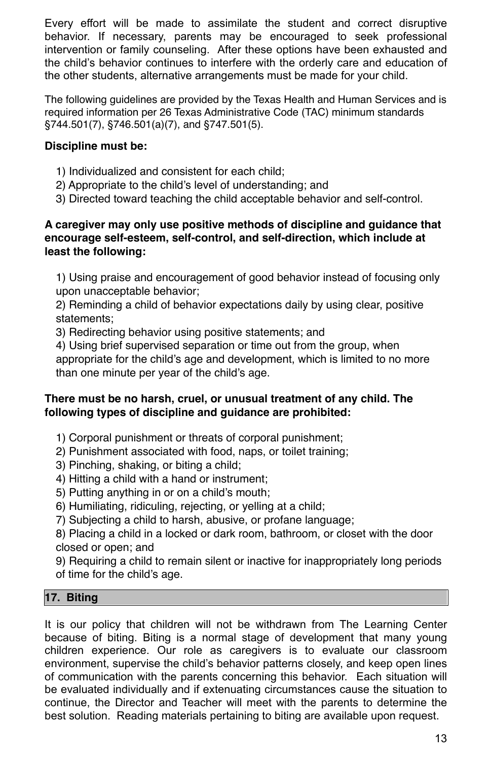Every effort will be made to assimilate the student and correct disruptive behavior. If necessary, parents may be encouraged to seek professional intervention or family counseling. After these options have been exhausted and the child's behavior continues to interfere with the orderly care and education of the other students, alternative arrangements must be made for your child.

The following guidelines are provided by the Texas Health and Human Services and is required information per 26 Texas Administrative Code (TAC) minimum standards §744.501(7), §746.501(a)(7), and §747.501(5).

## **Discipline must be:**

- 1) Individualized and consistent for each child;
- 2) Appropriate to the child's level of understanding; and
- 3) Directed toward teaching the child acceptable behavior and self-control.

## **A caregiver may only use positive methods of discipline and guidance that encourage self-esteem, self-control, and self-direction, which include at least the following:**

1) Using praise and encouragement of good behavior instead of focusing only upon unacceptable behavior;

2) Reminding a child of behavior expectations daily by using clear, positive statements;

3) Redirecting behavior using positive statements; and

4) Using brief supervised separation or time out from the group, when appropriate for the child's age and development, which is limited to no more than one minute per year of the child's age.

## **There must be no harsh, cruel, or unusual treatment of any child. The following types of discipline and guidance are prohibited:**

- 1) Corporal punishment or threats of corporal punishment;
- 2) Punishment associated with food, naps, or toilet training;
- 3) Pinching, shaking, or biting a child;
- 4) Hitting a child with a hand or instrument;
- 5) Putting anything in or on a child's mouth;
- 6) Humiliating, ridiculing, rejecting, or yelling at a child;
- 7) Subjecting a child to harsh, abusive, or profane language;
- 8) Placing a child in a locked or dark room, bathroom, or closet with the door closed or open; and
- 

9) Requiring a child to remain silent or inactive for inappropriately long periods of time for the child's age.

#### <span id="page-12-0"></span>**17. Biting**

It is our policy that children will not be withdrawn from The Learning Center because of biting. Biting is a normal stage of development that many young children experience. Our role as caregivers is to evaluate our classroom environment, supervise the child's behavior patterns closely, and keep open lines of communication with the parents concerning this behavior. Each situation will be evaluated individually and if extenuating circumstances cause the situation to continue, the Director and Teacher will meet with the parents to determine the best solution. Reading materials pertaining to biting are available upon request.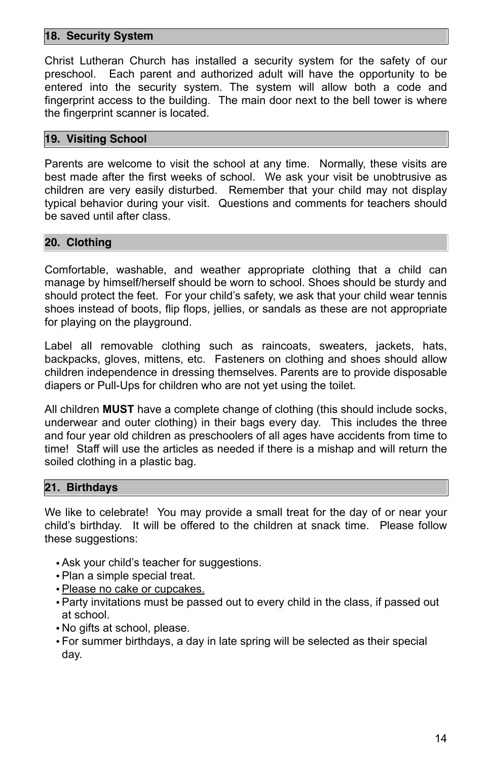#### <span id="page-13-0"></span>**18. Security System**

Christ Lutheran Church has installed a security system for the safety of our preschool. Each parent and authorized adult will have the opportunity to be entered into the security system. The system will allow both a code and fingerprint access to the building. The main door next to the bell tower is where the fingerprint scanner is located.

#### <span id="page-13-1"></span>**19. Visiting School**

Parents are welcome to visit the school at any time. Normally, these visits are best made after the first weeks of school. We ask your visit be unobtrusive as children are very easily disturbed. Remember that your child may not display typical behavior during your visit. Questions and comments for teachers should be saved until after class.

#### <span id="page-13-2"></span>**20. Clothing**

Comfortable, washable, and weather appropriate clothing that a child can manage by himself/herself should be worn to school. Shoes should be sturdy and should protect the feet. For your child's safety, we ask that your child wear tennis shoes instead of boots, flip flops, jellies, or sandals as these are not appropriate for playing on the playground.

Label all removable clothing such as raincoats, sweaters, jackets, hats, backpacks, gloves, mittens, etc. Fasteners on clothing and shoes should allow children independence in dressing themselves. Parents are to provide disposable diapers or Pull-Ups for children who are not yet using the toilet.

All children **MUST** have a complete change of clothing (this should include socks, underwear and outer clothing) in their bags every day. This includes the three and four year old children as preschoolers of all ages have accidents from time to time! Staff will use the articles as needed if there is a mishap and will return the soiled clothing in a plastic bag.

#### <span id="page-13-3"></span>**21. Birthdays**

We like to celebrate! You may provide a small treat for the day of or near your child's birthday. It will be offered to the children at snack time. Please follow these suggestions:

- Ask your child's teacher for suggestions.
- Plan a simple special treat.
- Please no cake or cupcakes.
- Party invitations must be passed out to every child in the class, if passed out at school.
- No gifts at school, please.
- For summer birthdays, a day in late spring will be selected as their special day.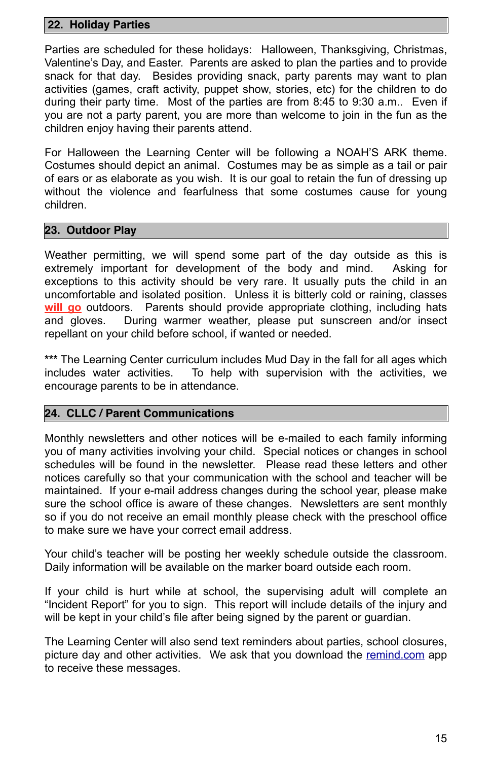#### <span id="page-14-0"></span> **22. Holiday Parties**

Parties are scheduled for these holidays: Halloween, Thanksgiving, Christmas, Valentine's Day, and Easter. Parents are asked to plan the parties and to provide snack for that day. Besides providing snack, party parents may want to plan activities (games, craft activity, puppet show, stories, etc) for the children to do during their party time. Most of the parties are from 8:45 to 9:30 a.m.. Even if you are not a party parent, you are more than welcome to join in the fun as the children enjoy having their parents attend.

For Halloween the Learning Center will be following a NOAH'S ARK theme. Costumes should depict an animal. Costumes may be as simple as a tail or pair of ears or as elaborate as you wish. It is our goal to retain the fun of dressing up without the violence and fearfulness that some costumes cause for young children.

#### <span id="page-14-1"></span>**23. Outdoor Play**

Weather permitting, we will spend some part of the day outside as this is extremely important for development of the body and mind. Asking for exceptions to this activity should be very rare. It usually puts the child in an uncomfortable and isolated position. Unless it is bitterly cold or raining, classes **will go** outdoors. Parents should provide appropriate clothing, including hats and gloves. During warmer weather, please put sunscreen and/or insect repellant on your child before school, if wanted or needed.

If your child is hurt while at school, the supervising adult will complete an "Incident Report" for you to sign. This report will include details of the injury and will be kept in your child's file after being signed by the parent or guardian.

**\*\*\*** The Learning Center curriculum includes Mud Day in the fall for all ages which includes water activities. To help with supervision with the activities, we encourage parents to be in attendance.

#### <span id="page-14-2"></span>**24. CLLC / Parent Communications**

Monthly newsletters and other notices will be e-mailed to each family informing you of many activities involving your child. Special notices or changes in school schedules will be found in the newsletter. Please read these letters and other notices carefully so that your communication with the school and teacher will be maintained. If your e-mail address changes during the school year, please make sure the school office is aware of these changes. Newsletters are sent monthly so if you do not receive an email monthly please check with the preschool office to make sure we have your correct email address.

Your child's teacher will be posting her weekly schedule outside the classroom. Daily information will be available on the marker board outside each room.

The Learning Center will also send text reminders about parties, school closures, picture day and other activities. We ask that you download the [remind.com](http://remind.com) app to receive these messages.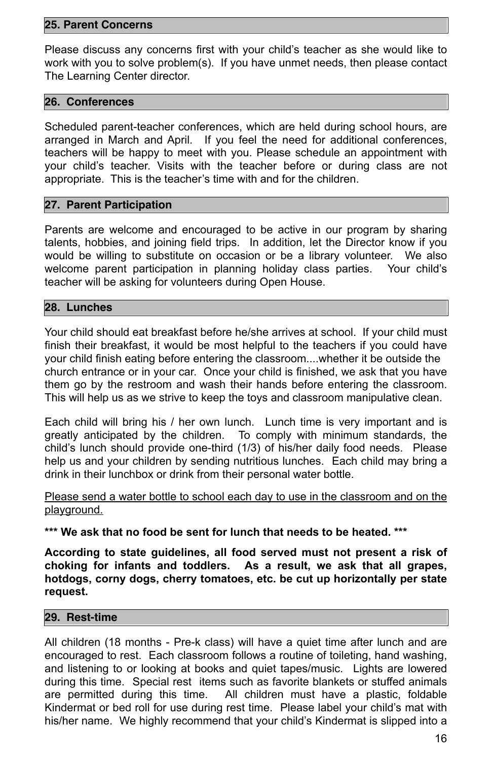#### <span id="page-15-0"></span>**25. Parent Concerns**

Please discuss any concerns first with your child's teacher as she would like to work with you to solve problem(s). If you have unmet needs, then please contact The Learning Center director.

#### <span id="page-15-1"></span>**26. Conferences**

Scheduled parent-teacher conferences, which are held during school hours, are arranged in March and April. If you feel the need for additional conferences, teachers will be happy to meet with you. Please schedule an appointment with your child's teacher. Visits with the teacher before or during class are not appropriate. This is the teacher's time with and for the children.

#### <span id="page-15-2"></span>**27. Parent Participation**

Parents are welcome and encouraged to be active in our program by sharing talents, hobbies, and joining field trips. In addition, let the Director know if you would be willing to substitute on occasion or be a library volunteer. We also welcome parent participation in planning holiday class parties. Your child's teacher will be asking for volunteers during Open House.

### Please send a water bottle to school each day to use in the classroom and on the playground.

#### <span id="page-15-3"></span>**28. Lunches**

Your child should eat breakfast before he/she arrives at school. If your child must finish their breakfast, it would be most helpful to the teachers if you could have your child finish eating before entering the classroom....whether it be outside the church entrance or in your car. Once your child is finished, we ask that you have them go by the restroom and wash their hands before entering the classroom. This will help us as we strive to keep the toys and classroom manipulative clean.

Each child will bring his / her own lunch. Lunch time is very important and is greatly anticipated by the children. To comply with minimum standards, the child's lunch should provide one-third (1/3) of his/her daily food needs. Please help us and your children by sending nutritious lunches. Each child may bring a drink in their lunchbox or drink from their personal water bottle.

#### **\*\*\* We ask that no food be sent for lunch that needs to be heated. \*\*\***

**According to state guidelines, all food served must not present a risk of** 

**choking for infants and toddlers. As a result, we ask that all grapes, hotdogs, corny dogs, cherry tomatoes, etc. be cut up horizontally per state request.** 

#### <span id="page-15-4"></span>**29. Rest-time**

All children (18 months - Pre-k class) will have a quiet time after lunch and are encouraged to rest. Each classroom follows a routine of toileting, hand washing, and listening to or looking at books and quiet tapes/music. Lights are lowered during this time. Special rest items such as favorite blankets or stuffed animals are permitted during this time. All children must have a plastic, foldable Kindermat or bed roll for use during rest time. Please label your child's mat with his/her name. We highly recommend that your child's Kindermat is slipped into a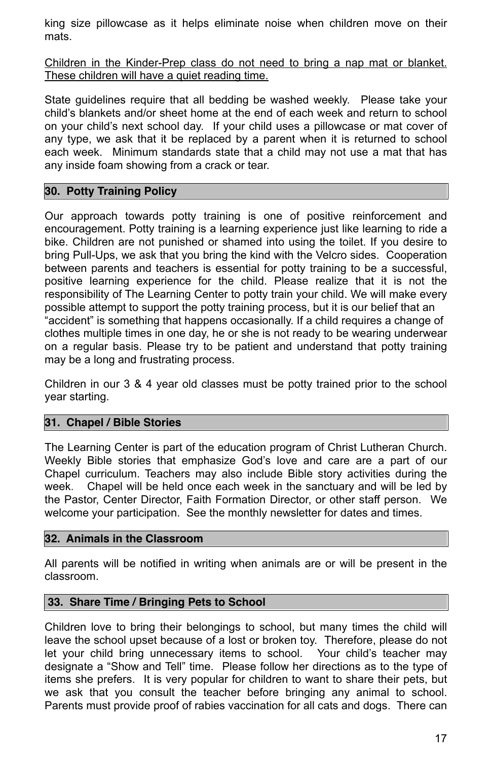king size pillowcase as it helps eliminate noise when children move on their mats.

Children in the Kinder-Prep class do not need to bring a nap mat or blanket. These children will have a quiet reading time.

State guidelines require that all bedding be washed weekly. Please take your child's blankets and/or sheet home at the end of each week and return to school on your child's next school day. If your child uses a pillowcase or mat cover of any type, we ask that it be replaced by a parent when it is returned to school each week. Minimum standards state that a child may not use a mat that has any inside foam showing from a crack or tear.

#### <span id="page-16-0"></span>**30. Potty Training Policy**

Our approach towards potty training is one of positive reinforcement and encouragement. Potty training is a learning experience just like learning to ride a bike. Children are not punished or shamed into using the toilet. If you desire to bring Pull-Ups, we ask that you bring the kind with the Velcro sides. Cooperation between parents and teachers is essential for potty training to be a successful, positive learning experience for the child. Please realize that it is not the responsibility of The Learning Center to potty train your child. We will make every possible attempt to support the potty training process, but it is our belief that an "accident" is something that happens occasionally. If a child requires a change of clothes multiple times in one day, he or she is not ready to be wearing underwear on a regular basis. Please try to be patient and understand that potty training may be a long and frustrating process.

Children in our 3 & 4 year old classes must be potty trained prior to the school year starting.

#### <span id="page-16-1"></span>**31. Chapel / Bible Stories**

The Learning Center is part of the education program of Christ Lutheran Church. Weekly Bible stories that emphasize God's love and care are a part of our Chapel curriculum. Teachers may also include Bible story activities during the week. Chapel will be held once each week in the sanctuary and will be led by the Pastor, Center Director, Faith Formation Director, or other staff person. We welcome your participation. See the monthly newsletter for dates and times.

#### <span id="page-16-2"></span>**32. Animals in the Classroom**

All parents will be notified in writing when animals are or will be present in the classroom.

#### <span id="page-16-3"></span> **33. Share Time / Bringing Pets to School**

Children love to bring their belongings to school, but many times the child will leave the school upset because of a lost or broken toy. Therefore, please do not let your child bring unnecessary items to school. Your child's teacher may designate a "Show and Tell" time. Please follow her directions as to the type of items she prefers. It is very popular for children to want to share their pets, but we ask that you consult the teacher before bringing any animal to school. Parents must provide proof of rabies vaccination for all cats and dogs. There can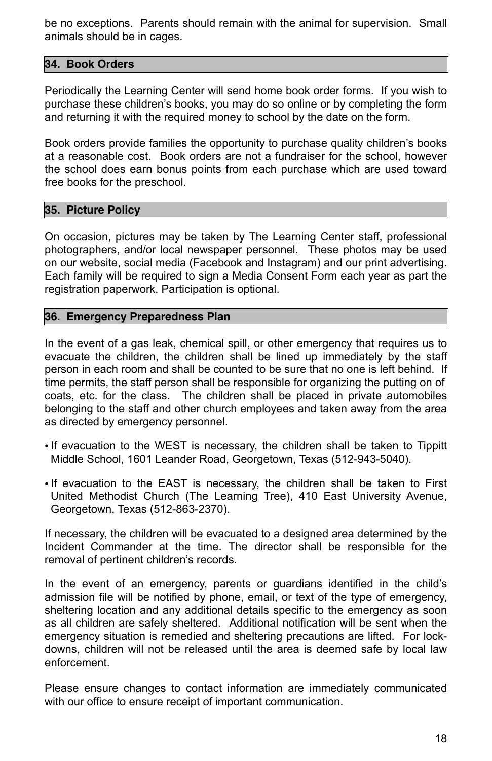be no exceptions. Parents should remain with the animal for supervision. Small animals should be in cages.

#### <span id="page-17-0"></span>**34. Book Orders**

Periodically the Learning Center will send home book order forms. If you wish to purchase these children's books, you may do so online or by completing the form and returning it with the required money to school by the date on the form.

Book orders provide families the opportunity to purchase quality children's books at a reasonable cost. Book orders are not a fundraiser for the school, however the school does earn bonus points from each purchase which are used toward free books for the preschool.

#### <span id="page-17-1"></span>**35. Picture Policy**

On occasion, pictures may be taken by The Learning Center staff, professional photographers, and/or local newspaper personnel. These photos may be used on our website, social media (Facebook and Instagram) and our print advertising. Each family will be required to sign a Media Consent Form each year as part the registration paperwork. Participation is optional.

#### <span id="page-17-2"></span>**36. Emergency Preparedness Plan**

In the event of a gas leak, chemical spill, or other emergency that requires us to evacuate the children, the children shall be lined up immediately by the staff person in each room and shall be counted to be sure that no one is left behind. If time permits, the staff person shall be responsible for organizing the putting on of coats, etc. for the class. The children shall be placed in private automobiles belonging to the staff and other church employees and taken away from the area as directed by emergency personnel.

- If evacuation to the WEST is necessary, the children shall be taken to Tippitt Middle School, 1601 Leander Road, Georgetown, Texas (512-943-5040).
- If evacuation to the EAST is necessary, the children shall be taken to First United Methodist Church (The Learning Tree), 410 East University Avenue, Georgetown, Texas (512-863-2370).

If necessary, the children will be evacuated to a designed area determined by the Incident Commander at the time. The director shall be responsible for the removal of pertinent children's records.

In the event of an emergency, parents or guardians identified in the child's admission file will be notified by phone, email, or text of the type of emergency, sheltering location and any additional details specific to the emergency as soon as all children are safely sheltered. Additional notification will be sent when the emergency situation is remedied and sheltering precautions are lifted. For lockdowns, children will not be released until the area is deemed safe by local law enforcement.

Please ensure changes to contact information are immediately communicated with our office to ensure receipt of important communication.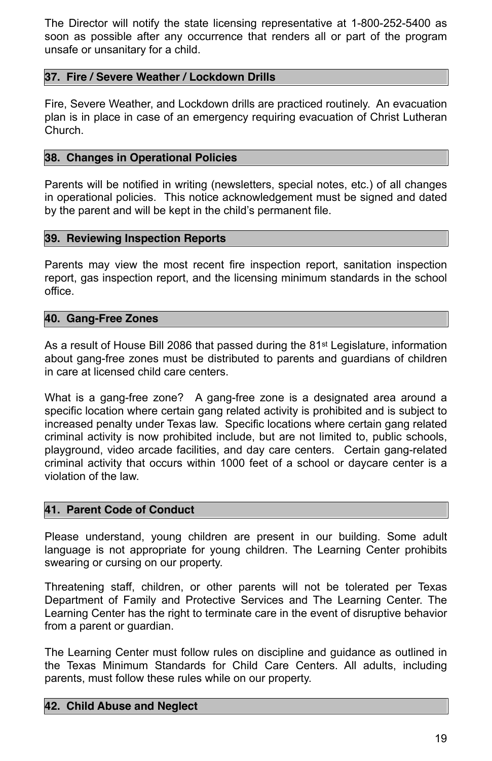The Director will notify the state licensing representative at 1-800-252-5400 as soon as possible after any occurrence that renders all or part of the program unsafe or unsanitary for a child.

#### <span id="page-18-0"></span>**37. Fire / Severe Weather / Lockdown Drills**

Fire, Severe Weather, and Lockdown drills are practiced routinely. An evacuation plan is in place in case of an emergency requiring evacuation of Christ Lutheran Church.

#### <span id="page-18-1"></span>**38. Changes in Operational Policies**

As a result of House Bill 2086 that passed during the 81<sup>st</sup> Legislature, information about gang-free zones must be distributed to parents and guardians of children in care at licensed child care centers.

Parents will be notified in writing (newsletters, special notes, etc.) of all changes in operational policies. This notice acknowledgement must be signed and dated by the parent and will be kept in the child's permanent file.

#### <span id="page-18-2"></span>**39. Reviewing Inspection Reports**

Parents may view the most recent fire inspection report, sanitation inspection report, gas inspection report, and the licensing minimum standards in the school office.

#### <span id="page-18-3"></span>**40. Gang-Free Zones**

What is a gang-free zone? A gang-free zone is a designated area around a specific location where certain gang related activity is prohibited and is subject to increased penalty under Texas law. Specific locations where certain gang related criminal activity is now prohibited include, but are not limited to, public schools, playground, video arcade facilities, and day care centers. Certain gang-related criminal activity that occurs within 1000 feet of a school or daycare center is a violation of the law.

#### <span id="page-18-4"></span>**41. Parent Code of Conduct**

Please understand, young children are present in our building. Some adult language is not appropriate for young children. The Learning Center prohibits swearing or cursing on our property.

Threatening staff, children, or other parents will not be tolerated per Texas Department of Family and Protective Services and The Learning Center. The Learning Center has the right to terminate care in the event of disruptive behavior from a parent or guardian.

The Learning Center must follow rules on discipline and guidance as outlined in the Texas Minimum Standards for Child Care Centers. All adults, including parents, must follow these rules while on our property.

#### <span id="page-18-5"></span>**42. Child Abuse and Neglect**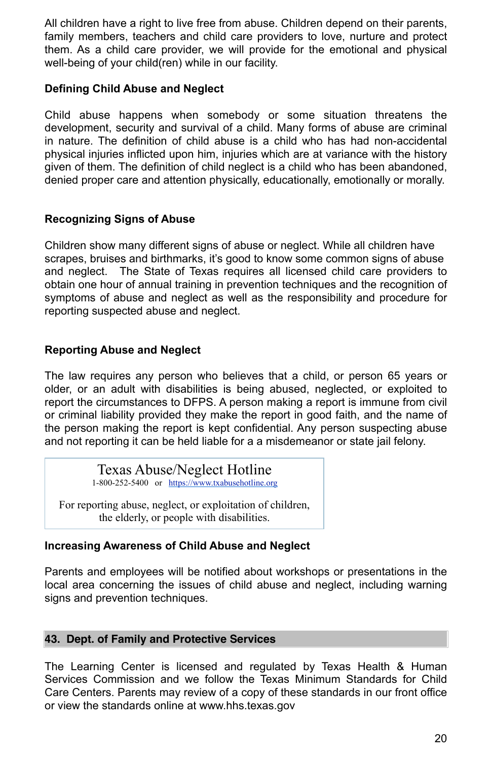All children have a right to live free from abuse. Children depend on their parents, family members, teachers and child care providers to love, nurture and protect them. As a child care provider, we will provide for the emotional and physical well-being of your child(ren) while in our facility.

## **Defining Child Abuse and Neglect**

Child abuse happens when somebody or some situation threatens the development, security and survival of a child. Many forms of abuse are criminal in nature. The definition of child abuse is a child who has had non-accidental physical injuries inflicted upon him, injuries which are at variance with the history given of them. The definition of child neglect is a child who has been abandoned, denied proper care and attention physically, educationally, emotionally or morally.

## **Recognizing Signs of Abuse**

Children show many different signs of abuse or neglect. While all children have scrapes, bruises and birthmarks, it's good to know some common signs of abuse and neglect. The State of Texas requires all licensed child care providers to obtain one hour of annual training in prevention techniques and the recognition of symptoms of abuse and neglect as well as the responsibility and procedure for reporting suspected abuse and neglect.

## **Reporting Abuse and Neglect**

The law requires any person who believes that a child, or person 65 years or older, or an adult with disabilities is being abused, neglected, or exploited to report the circumstances to DFPS. A person making a report is immune from civil or criminal liability provided they make the report in good faith, and the name of the person making the report is kept confidential. Any person suspecting abuse and not reporting it can be held liable for a a misdemeanor or state jail felony.

## **Increasing Awareness of Child Abuse and Neglect**

Parents and employees will be notified about workshops or presentations in the local area concerning the issues of child abuse and neglect, including warning signs and prevention techniques.

#### <span id="page-19-0"></span>**43. Dept. of Family and Protective Services**

The Learning Center is licensed and regulated by Texas Health & Human Services Commission and we follow the Texas Minimum Standards for Child Care Centers. Parents may review of a copy of these standards in our front office or view the standards online at www.hhs.texas.gov

## Texas Abuse/Neglect Hotline

1-800-252-5400 or [https://www.txabusehotline.org](https://www.txabusehotline.org/)

For reporting abuse, neglect, or exploitation of children, the elderly, or people with disabilities.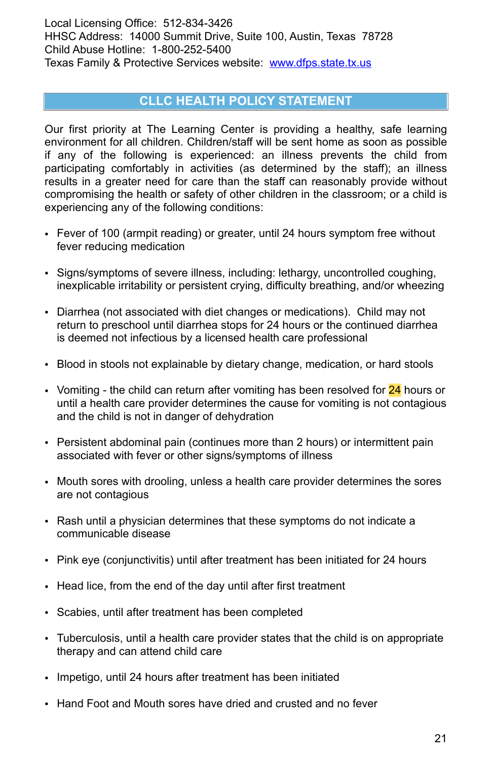Local Licensing Office: 512-834-3426 HHSC Address: 14000 Summit Drive, Suite 100, Austin, Texas 78728 Child Abuse Hotline: 1-800-252-5400 Texas Family & Protective Services website: [www.dfps.state.tx.us](http://www.dfps.state.tx.us)

## <span id="page-20-0"></span>**CLLC HEALTH POLICY STATEMENT**

Our first priority at The Learning Center is providing a healthy, safe learning environment for all children. Children/staff will be sent home as soon as possible if any of the following is experienced: an illness prevents the child from participating comfortably in activities (as determined by the staff); an illness results in a greater need for care than the staff can reasonably provide without compromising the health or safety of other children in the classroom; or a child is experiencing any of the following conditions:

- Fever of 100 (armpit reading) or greater, until 24 hours symptom free without fever reducing medication
- Signs/symptoms of severe illness, including: lethargy, uncontrolled coughing, inexplicable irritability or persistent crying, difficulty breathing, and/or wheezing
- Diarrhea (not associated with diet changes or medications). Child may not return to preschool until diarrhea stops for 24 hours or the continued diarrhea is deemed not infectious by a licensed health care professional
- Blood in stools not explainable by dietary change, medication, or hard stools
- Vomiting the child can return after vomiting has been resolved for 24 hours or until a health care provider determines the cause for vomiting is not contagious and the child is not in danger of dehydration
- Persistent abdominal pain (continues more than 2 hours) or intermittent pain associated with fever or other signs/symptoms of illness
- Mouth sores with drooling, unless a health care provider determines the sores are not contagious
- Rash until a physician determines that these symptoms do not indicate a communicable disease
- Pink eye (conjunctivitis) until after treatment has been initiated for 24 hours
- 
- Head lice, from the end of the day until after first treatment
- Scabies, until after treatment has been completed
- Tuberculosis, until a health care provider states that the child is on appropriate therapy and can attend child care
- Impetigo, until 24 hours after treatment has been initiated
- Hand Foot and Mouth sores have dried and crusted and no fever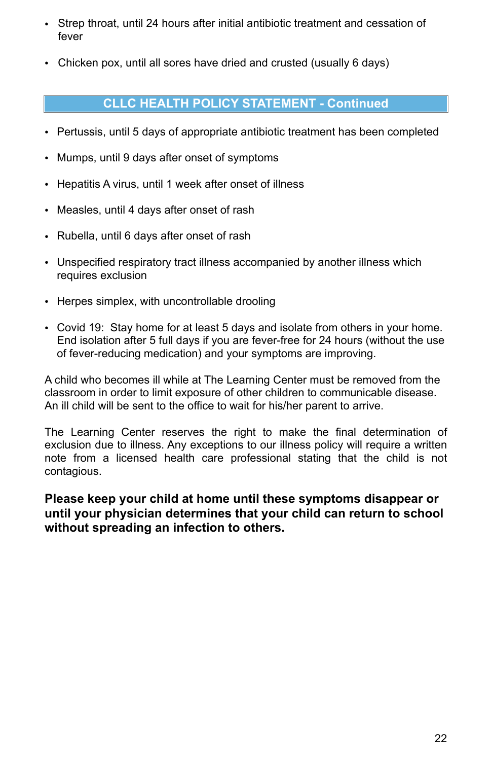- Strep throat, until 24 hours after initial antibiotic treatment and cessation of fever
- Chicken pox, until all sores have dried and crusted (usually 6 days)

## <span id="page-21-0"></span>**CLLC HEALTH POLICY STATEMENT - Continued**

- Pertussis, until 5 days of appropriate antibiotic treatment has been completed
- Mumps, until 9 days after onset of symptoms
- Hepatitis A virus, until 1 week after onset of illness
- Measles, until 4 days after onset of rash
- Rubella, until 6 days after onset of rash
- Unspecified respiratory tract illness accompanied by another illness which requires exclusion
- Herpes simplex, with uncontrollable drooling
- Covid 19: Stay home for at least 5 days and isolate from others in your home. End isolation after 5 full days if you are fever-free for 24 hours (without the use of fever-reducing medication) and your symptoms are improving.

A child who becomes ill while at The Learning Center must be removed from the classroom in order to limit exposure of other children to communicable disease. An ill child will be sent to the office to wait for his/her parent to arrive.

The Learning Center reserves the right to make the final determination of exclusion due to illness. Any exceptions to our illness policy will require a written note from a licensed health care professional stating that the child is not contagious.

**Please keep your child at home until these symptoms disappear or until your physician determines that your child can return to school without spreading an infection to others.** 

22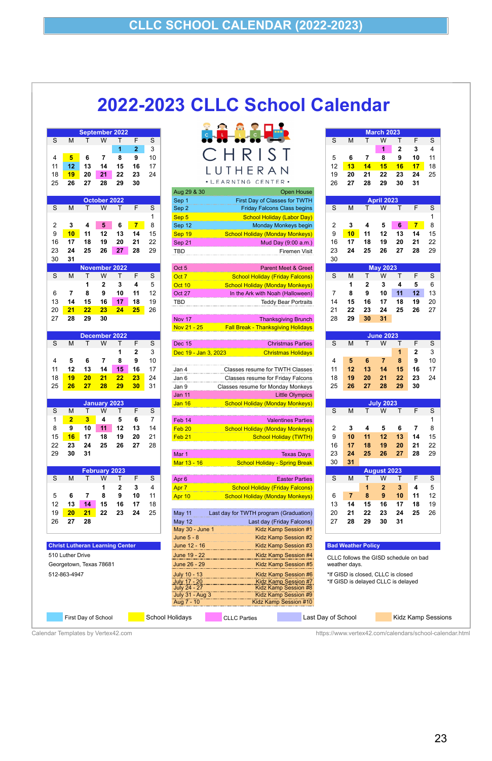# <span id="page-22-0"></span>**2022-2023 CLLC School Calendar**



|    |    |    |              |    |    |    | Aug 29 & 30 | Open House                         |    |    |    |                   |    |    |     |
|----|----|----|--------------|----|----|----|-------------|------------------------------------|----|----|----|-------------------|----|----|-----|
|    |    |    | October 2022 |    |    |    | Sep 1       | First Day of Classes for TWTH      |    |    |    | <b>April 2023</b> |    |    |     |
| S  | М  |    | W            |    |    | S. | Sep 2       | <b>Friday Falcons Class begins</b> |    | M  |    | W                 |    |    | - S |
|    |    |    |              |    |    |    | Sep 5       | <b>School Holiday (Labor Day)</b>  |    |    |    |                   |    |    |     |
|    |    |    |              | 6  |    | 8  | Sep 12      | Monday Monkeys begin               |    |    |    |                   | 6  |    | 8   |
| 9  |    | 11 | 12           |    |    | 15 | Sep 19      | School Holiday (Monday Monkeys)    |    | 10 |    |                   | 13 |    | 15  |
| 16 |    | 18 | 19           | 20 | 21 | 22 | Sep 21      | Mud Day (9:00 a.m.)                | 16 |    | 18 | 19                | 20 | 21 | 22  |
| 23 | 24 | 25 | 26           | 27 | 28 | 29 | TBD         | Firemen Visit                      | 23 | 24 | 25 | 26                | 27 | 28 | 29  |
|    |    |    |              |    |    |    |             |                                    |    |    |    |                   |    |    |     |

| S                       |                                                             | S              | F              | September 2022<br>т | W                       | т                       | M               | S              |
|-------------------------|-------------------------------------------------------------|----------------|----------------|---------------------|-------------------------|-------------------------|-----------------|----------------|
|                         |                                                             | 3              | $\overline{2}$ | 1                   |                         |                         |                 |                |
| 5                       | CHRI                                                        | 10             | 9              | 8                   | $\overline{7}$          | 6                       | $5\overline{)}$ | 4              |
| 12                      |                                                             | 17             | 16             | 15                  | 14                      | 13                      | 12              | 11             |
| 19                      |                                                             | 24             | 23             | 22                  | 21                      | 20                      | 19              | 18             |
| 26                      | · LEARNING CENTER ·                                         |                | 30             | 29                  | 28                      | 27                      | 26              | 25             |
|                         | Open House<br>Aug 29 & 30                                   |                |                |                     |                         |                         |                 |                |
|                         | First Day of Classes for TWTH<br>Sep 1                      |                |                |                     | October 2022            |                         |                 |                |
| $\mathsf S$             | Sep <sub>2</sub><br><b>Friday Falcons Class begins</b>      | S              | F              | Τ                   | W                       | T                       | M               | S              |
|                         | Sep 5<br><b>School Holiday (Labor Day)</b>                  | 1              |                |                     |                         |                         |                 |                |
| $\overline{\mathbf{c}}$ | Monday Monkeys begin<br>Sep 12                              | 8              | $\overline{7}$ | 6                   | 5                       | 4                       | 3               | $\overline{2}$ |
| 9                       | Sep 19<br><b>School Holiday (Monday Monkeys)</b>            | 15             | 14             | 13                  | 12                      | 11                      | 10              | 9              |
| 16                      | Sep 21<br>Mud Day (9:00 a.m.)                               | 22             | 21             | 20                  | 19                      | 18                      | 17              | 16             |
| 23                      | Firemen Visit<br>TBD                                        | 29             | 28             | 27                  | 26                      | 25                      | 24              | 23             |
| 30                      |                                                             |                |                |                     |                         |                         | 31              | 30             |
|                         | Oct 5<br><b>Parent Meet &amp; Greet</b>                     |                |                |                     | <b>November 2022</b>    |                         |                 |                |
| S                       | Oct <sub>7</sub><br><b>School Holiday (Friday Falcons)</b>  | S              | F              | T                   | W                       | T                       | M               | S              |
|                         | Oct 10<br><b>School Holiday (Monday Monkeys)</b>            | 5              | 4              | 3                   | $\mathbf{2}$            | 1                       |                 |                |
| $\overline{7}$          | Oct 27<br>In the Ark with Noah (Halloween)                  | 12             | 11             | 10                  | 9                       | 8                       | 7               | 6              |
| 14<br>21                | <b>TBD</b><br><b>Teddy Bear Portraits</b>                   | 19<br>26       | 18             | 17<br>24            | 16<br>23                | 15<br>22                | 14<br>21        | 13<br>20       |
| 28                      |                                                             |                | 25             |                     | 30                      | 29                      | 28              | 27             |
|                         | Nov 17<br><b>Thanksgiving Brunch</b>                        |                |                |                     |                         |                         |                 |                |
|                         | Nov 21 - 25<br><b>Fall Break - Thanksgiving Holidays</b>    |                |                |                     | <b>December 2022</b>    |                         |                 |                |
| $\overline{s}$          | <b>Christmas Parties</b><br>Dec 15                          | S              | F              | T                   | $\overline{W}$          | $\overline{\top}$       | M               | $\overline{s}$ |
|                         | Dec 19 - Jan 3, 2023<br><b>Christmas Holidays</b>           | 3              | $\mathbf{2}$   | 1                   |                         |                         |                 |                |
| $\overline{4}$          |                                                             | 10             | 9              | 8                   | $\overline{7}$          | 6                       | 5               | 4              |
| 11                      | Classes resume for TWTH Classes<br>Jan 4                    | 17             | 16             | 15                  | 14                      | 13                      | 12              | 11             |
| 18                      | Classes resume for Friday Falcons<br>Jan 6                  | 24             | 23             | 22                  | 21                      | 20                      | 19              | 18             |
| 25                      | Classes resume for Monday Monkeys<br>Jan 9                  | 31             | 30             | 29                  | 28                      | 27                      | 26              | 25             |
|                         | <b>Little Olympics</b><br>Jan 11                            |                |                |                     |                         |                         |                 |                |
|                         | <b>School Holiday (Monday Monkeys)</b><br><b>Jan 16</b>     |                |                |                     | <b>January 2023</b>     |                         |                 |                |
| $\mathsf S$             |                                                             | $\mathsf S$    | $\mathsf F$    | Τ                   | W                       | Τ                       | M               | S              |
|                         | <b>Valentines Parties</b><br>Feb 14                         | $\overline{7}$ | 6              | 5                   | $\overline{\mathbf{4}}$ | $\overline{\mathbf{3}}$ | $\overline{2}$  | 1              |
| $\overline{c}$          | Feb <sub>20</sub><br><b>School Holiday (Monday Monkeys)</b> | 14             | 13             | 12                  | 11                      | 10                      | 9               | 8              |
| $\boldsymbol{9}$        | <b>School Holiday (TWTH)</b><br>Feb <sub>21</sub>           | 21             | 20             | 19                  | 18                      | 17                      | 16              | 15             |
| 16                      |                                                             | 28             | 27             | 26                  | 25                      | 24                      | 23              | 22             |
| 23                      | Mar 1<br><b>Texas Days</b>                                  |                |                |                     |                         | 31                      | 30              | 29             |
| 30                      | Mar 13 - 16<br><b>School Holiday - Spring Break</b>         |                |                |                     |                         |                         |                 |                |
|                         |                                                             |                |                |                     | <b>February 2023</b>    |                         |                 |                |
| $\mathbf{C}$            |                                                             | $\mathbf{C}$   | $\blacksquare$ |                     | $\overline{M}$          |                         | $\mathbf{A}$    | $\mathbf C$    |

|                            |  | 1 2 3 4 |  |
|----------------------------|--|---------|--|
| 5 6 7 8 9 10 1             |  |         |  |
| 12  13  14  15  16  17  18 |  |         |  |
| 19 20 21 22 23 24 2        |  |         |  |
| 26 27 28                   |  |         |  |
|                            |  |         |  |

**Christ Lutheran Learning Center** June 12 - 16 Kidz Kamp Session #3 **Bad Weather Policy** 510 Luther Drive **The Superint Contract Contract Contract Contract Contract Contract Contract Contract Contract Constant CLLC follows the GISD schedule on bad** 

|                         |                |                         | <b>September 2022</b> |              |                |                |                               |                                              |                |                |                | <b>March 2023</b>      |              |                |       |
|-------------------------|----------------|-------------------------|-----------------------|--------------|----------------|----------------|-------------------------------|----------------------------------------------|----------------|----------------|----------------|------------------------|--------------|----------------|-------|
| S                       | M              | т                       | W                     | Τ            | F              | $\mathbf S$    |                               |                                              | $\overline{s}$ | M              | т              | W                      | т            | F              | S     |
|                         |                |                         |                       | $\mathbf{1}$ | $\overline{2}$ | 3              |                               |                                              |                |                |                | 1                      | $\mathbf 2$  | 3              | 4     |
| 4                       | 5              | 6                       | 7                     | 8            | 9              | 10             |                               | CHRIST                                       | 5              | 6              | $\overline{7}$ | 8                      | 9            | 10             | 11    |
| 11                      | 12             | 13                      | 14                    | 15           | 16             | 17             |                               |                                              | 12             | 13             | 14             | 15                     | 16           | 17             | 18    |
| 18                      | 19             | 20                      | 21                    | 22           | 23             | 24             |                               | UTHERAN                                      | 19             | 20             | 21             | 22                     | 23           | 24             | 25    |
|                         | 26             | 27                      | 28                    | 29           | 30             |                |                               | . LEARNING CENTER .                          | 26             | 27             | 28             | 29                     | 30           | 31             |       |
| 25                      |                |                         |                       |              |                |                |                               |                                              |                |                |                |                        |              |                |       |
|                         |                |                         |                       |              |                |                | Aug 29 & 30                   | Open House                                   |                |                |                |                        |              |                |       |
|                         |                |                         | October 2022          | т            |                |                | Sep 1                         | First Day of Classes for TWTH                |                |                | т              | <b>April 2023</b><br>W | т            |                |       |
| S                       | M              | т                       | W                     |              | F              | S              | Sep 2                         | <b>Friday Falcons Class begins</b>           | S              | M              |                |                        |              | F              | S     |
|                         |                |                         |                       |              |                |                | Sep 5                         | <b>School Holiday (Labor Day)</b>            |                |                |                |                        |              |                | 1     |
| $\overline{\mathbf{c}}$ | 3              | 4                       | 5                     | 6            | $\overline{7}$ | 8              | Sep 12                        | <b>Monday Monkeys begin</b>                  | 2              | 3              | 4              | 5                      | 6            | $\overline{7}$ | 8     |
| 9                       | 10             | 11                      | 12                    | 13           | 14             | 15             | Sep 19                        | <b>School Holiday (Monday Monkeys)</b>       | 9              | 10             | 11             | 12                     | 13           | 14             | 15    |
| 16                      | 17             | 18                      | 19                    | 20           | 21             | 22             | Sep 21                        | Mud Day (9:00 a.m.)                          | 16             | 17             | 18             | 19                     | 20           | 21             | 22    |
| 23                      | 24             | 25                      | 26                    | 27           | 28             | 29             | <b>TBD</b>                    | <b>Firemen Visit</b>                         | 23             | 24             | 25             | 26                     | 27           | 28             | 29    |
| 30                      | 31             |                         |                       |              |                |                |                               |                                              | 30             |                |                |                        |              |                |       |
|                         |                |                         | <b>November 2022</b>  |              |                |                | Oct 5                         | Parent Meet & Greet                          |                |                |                | <b>May 2023</b>        |              |                |       |
| S                       | M              |                         | W                     | т            | F              | S              | Oct <sub>7</sub>              | <b>School Holiday (Friday Falcons)</b>       | S              | M              | T              | W                      |              | F              | S     |
|                         |                | 1                       | 2                     | 3            | 4              | 5              | Oct 10                        | <b>School Holiday (Monday Monkeys)</b>       |                | 1              | 2              | 3                      | 4            | 5              | $\,6$ |
| 6                       | 7              | 8                       | 9                     | 10           | 11             | 12             | Oct 27                        | In the Ark with Noah (Halloween)             | 7              | 8              | 9              | 10                     | 11           | 12             | 13    |
| 13                      | 14             | 15                      | 16                    | 17           | 18             | 19             | TBD                           | <b>Teddy Bear Portraits</b>                  | 14             | 15             | 16             | 17                     | 18           | 19             | 20    |
| 20                      | 21             | 22                      | 23                    | 24           | 25             | 26             |                               |                                              | 21             | 22             | 23             | 24                     | 25           | 26             | 27    |
| 27                      | 28             | 29                      | 30                    |              |                |                | Nov 17                        | <b>Thanksgiving Brunch</b>                   | 28             | 29             | 30             | 31                     |              |                |       |
|                         |                |                         |                       |              |                |                | Nov 21 - 25                   | <b>Fall Break - Thanksgiving Holidays</b>    |                |                |                |                        |              |                |       |
|                         |                |                         | <b>December 2022</b>  |              |                |                |                               |                                              |                |                |                | <b>June 2023</b>       |              |                |       |
| $\overline{s}$          | M              |                         | W                     | т            | F              | S              | Dec 15                        | <b>Christmas Parties</b>                     | S              | M              |                | W                      |              | F              | S     |
|                         |                |                         |                       | 1            | $\mathbf 2$    | 3              | Dec 19 - Jan 3, 2023          | <b>Christmas Holidays</b>                    |                |                |                |                        | 1            | 2              | 3     |
| 4                       | 5              | 6                       | 7                     | 8            | 9              | 10             |                               |                                              | 4              | 5              | 6              | $\overline{7}$         | 8            | 9              | 10    |
| 11                      | 12             | 13                      | 14                    | 15           | 16             | 17             |                               | Classes resume for TWTH Classes              | 11             | 12             | 13             | 14                     | 15           | 16             | 17    |
|                         |                |                         |                       |              | 23             |                | Jan 4                         |                                              |                |                |                | 21                     | 22           | 23             | 24    |
| 18                      | 19             | 20                      | 21                    | 22           |                | 24             | Jan 6                         | Classes resume for Friday Falcons            | 18             | 19             | 20             |                        |              |                |       |
| 25                      | 26             | 27                      | 28                    | 29           | 30             | 31             | Jan 9                         | Classes resume for Monday Monkeys            | 25             | 26             | 27             | 28                     | 29           | 30             |       |
|                         |                |                         |                       |              |                |                | <b>Jan 11</b>                 | <b>Little Olympics</b>                       |                |                |                |                        |              |                |       |
|                         |                | $\top$                  | <b>January 2023</b>   |              |                |                | <b>Jan 16</b>                 |                                              |                |                |                | <b>July 2023</b>       |              |                |       |
| $\mathbf S$             | M              |                         |                       |              |                |                |                               | <b>School Holiday (Monday Monkeys)</b>       |                |                |                |                        |              |                |       |
| $\mathbf 1$             |                |                         | W                     | Τ            | F              | ${\mathsf S}$  |                               |                                              | S              | M              | т              | W                      | т            | F              | S     |
|                         | $\overline{2}$ | 3                       | 4                     | ${\bf 5}$    | 6              | $\overline{7}$ | Feb 14                        | <b>Valentines Parties</b>                    |                |                |                |                        |              |                | 1     |
| 8                       | 9              | 10                      | 11                    | 12           | 13             | 14             | Feb 20                        | <b>School Holiday (Monday Monkeys)</b>       | 2              | 3              | 4              | 5                      | 6            | 7              | 8     |
| 15                      | 16             | 17                      | 18                    | 19           | 20             | 21             | Feb 21                        | <b>School Holiday (TWTH)</b>                 | 9              | 10             | 11             | 12                     | 13           | 14             | 15    |
| 22                      | 23             | 24                      | 25                    | 26           | 27             | 28             |                               |                                              | 16             | 17             | 18             | 19                     | 20           | 21             | 22    |
| 29                      | 30             | 31                      |                       |              |                |                | Mar 1                         | <b>Texas Days</b>                            | 23             | 24             | 25             | 26                     | 27           | 28             | 29    |
|                         |                |                         |                       |              |                |                | Mar 13 - 16                   | <b>School Holiday - Spring Break</b>         | 30             | 31             |                |                        |              |                |       |
|                         |                |                         | <b>February 2023</b>  |              |                |                |                               |                                              |                |                |                | August 2023            |              |                |       |
| $\overline{s}$          | M              | т                       | W                     | т            | F              | ${\mathsf S}$  | Apr <sub>6</sub>              | <b>Easter Parties</b>                        | S              | M              | Τ              | W                      | Τ            | F              | S     |
|                         |                |                         | 1                     | $\mathbf 2$  | $\mathbf 3$    | 4              | Apr 7                         | <b>School Holiday (Friday Falcons)</b>       |                |                | 1              | $\mathbf{2}$           | $\mathbf{3}$ | 4              | 5     |
|                         | 6              | $\overline{\mathbf{7}}$ | 8                     | 9            | 10             |                |                               |                                              | 6              | $\overline{7}$ | 8              | 9                      |              | 11             |       |
| 5                       |                |                         |                       |              |                | 11             | Apr 10                        | <b>School Holiday (Monday Monkeys)</b>       |                |                |                |                        | 10           |                | 12    |
| 12                      | 13             | 14                      | 15                    | 16           | 17             | 18             |                               |                                              | 13             | 14             | 15             | 16                     | 17           | 18             | 19    |
| 19                      | 20             | 21                      | 22                    | 23           | 24             | 25             | <b>May 11</b>                 | Last day for TWTH program (Graduation)       | 20             | 21             | 22             | 23                     | 24           | 25             | 26    |
| 26                      | 27             | 28                      |                       |              |                |                | <b>May 12</b>                 | Last day (Friday Falcons)                    | 27             | 28             | 29             | 30                     | 31           |                |       |
|                         |                |                         |                       |              |                |                | May 30 - June 1<br>June 5 - 8 | Kidz Kamp Session #1<br>Kidz Kamp Session #2 |                |                |                |                        |              |                |       |

|             |                         |                         | <b>November 2022</b> |             |                         |                | Oct <sub>5</sub>        |             |                      | <b>Parent Meet &amp; Greet</b>                                      |                         |                |                         | <b>May 2023</b>    |          |                |                           |
|-------------|-------------------------|-------------------------|----------------------|-------------|-------------------------|----------------|-------------------------|-------------|----------------------|---------------------------------------------------------------------|-------------------------|----------------|-------------------------|--------------------|----------|----------------|---------------------------|
| S           | M                       | т                       | W                    | T           | F                       | S              | Oct <sub>7</sub>        |             |                      | <b>School Holiday (Friday Falcons)</b>                              | S                       | M              | т                       | W                  | т        | F              | S                         |
|             |                         |                         | $\mathbf{2}$         | 3           | 4                       | 5              | Oct 10                  |             |                      | <b>School Holiday (Monday Monkeys)</b>                              |                         | 1              | $\mathbf 2$             | 3                  | 4        | 5              | 6                         |
| 6           | $\overline{7}$          | 8                       | 9                    | 10          | 11                      | 12             | Oct 27                  |             |                      | In the Ark with Noah (Halloween)                                    | 7                       | 8              | 9                       | 10                 | 11       | 12             | 13                        |
| 13          | 14                      | 15                      | 16                   | 17          | 18                      | 19             | <b>TBD</b>              |             |                      | <b>Teddy Bear Portraits</b>                                         | 14                      | 15             | 16                      | 17                 | 18       | 19             | 20                        |
| 20          | 21                      | 22                      | 23                   | 24          | 25                      | 26             |                         |             |                      |                                                                     | 21                      | 22             | 23                      | 24                 | 25       | 26             | 27                        |
| 27          | 28                      | 29                      | 30                   |             |                         |                | <b>Nov 17</b>           |             |                      | <b>Thanksgiving Brunch</b>                                          | 28                      | 29             | 30                      | 31                 |          |                |                           |
|             |                         |                         |                      |             |                         |                |                         | Nov 21 - 25 |                      | <b>Fall Break - Thanksgiving Holidays</b>                           |                         |                |                         |                    |          |                |                           |
|             |                         |                         | December 2022        |             |                         |                |                         |             |                      |                                                                     |                         |                |                         | <b>June 2023</b>   |          |                |                           |
| S           | M                       |                         | W                    |             | F                       | $\mathbf S$    | <b>Dec 15</b>           |             |                      | <b>Christmas Parties</b>                                            | $\overline{s}$          | M              | т                       | W                  |          | F              | S                         |
|             |                         |                         |                      | 1           | $\mathbf{2}$            | 3              |                         |             | Dec 19 - Jan 3, 2023 | <b>Christmas Holidays</b>                                           |                         |                |                         |                    | 1        | $\mathbf{2}$   | $\ensuremath{\mathsf{3}}$ |
| 4           | 5                       | 6                       | $\overline{7}$       | 8           | 9                       | 10             |                         |             |                      |                                                                     | 4                       | 5              | 6                       | $\overline{7}$     | 8        | 9              | 10                        |
| 11          | 12                      | 13                      | 14                   | 15          | 16                      | 17             | Jan 4                   |             |                      | Classes resume for TWTH Classes                                     | 11                      | 12             | 13                      | 14                 | 15       | 16             | 17                        |
| 18          | 19                      | 20                      | 21                   | 22          | 23                      | 24             | Jan 6                   |             |                      | Classes resume for Friday Falcons                                   | 18                      | 19             | 20                      | 21                 | 22       | 23             | 24                        |
| 25          | 26                      | 27                      | 28                   | 29          | 30                      | 31             | Jan 9                   |             |                      | Classes resume for Monday Monkeys                                   | 25                      | 26             | 27                      | 28                 | 29       | 30             |                           |
|             |                         |                         |                      |             |                         |                | <b>Jan 11</b>           |             |                      | <b>Little Olympics</b>                                              |                         |                |                         |                    |          |                |                           |
|             |                         |                         | <b>January 2023</b>  |             |                         |                | <b>Jan 16</b>           |             |                      | <b>School Holiday (Monday Monkeys)</b>                              |                         |                |                         | <b>July 2023</b>   |          |                |                           |
|             |                         |                         |                      |             |                         |                |                         |             |                      |                                                                     |                         |                |                         |                    |          |                |                           |
| S           | M                       | Т                       | W                    | т           | F                       | S              |                         |             |                      |                                                                     | <sub>S</sub>            | M              | т                       | W                  | т        | F              | S                         |
| 1           | $\overline{\mathbf{2}}$ | $\overline{\mathbf{3}}$ | 4                    | 5           | $6\phantom{1}6$         | $\overline{7}$ | Feb 14                  |             |                      | <b>Valentines Parties</b>                                           |                         |                |                         |                    |          |                |                           |
| 8           | 9                       | 10                      | 11                   | 12          | 13                      | 14             | Feb <sub>20</sub>       |             |                      | <b>School Holiday (Monday Monkeys)</b>                              | 2                       | 3              | 4                       | 5                  | 6        | 7              | 8                         |
| 15          | 16                      | 17                      | 18                   | 19          | 20                      | 21             | Feb <sub>21</sub>       |             |                      | <b>School Holiday (TWTH)</b>                                        | 9                       | 10             | 11                      | 12                 | 13       | 14             | 15                        |
| 22          | 23                      | 24                      | 25                   | 26          | 27                      | 28             |                         |             |                      |                                                                     | 16                      | 17             | 18                      | 19                 | 20       | 21             | 22                        |
| 29          | 30                      | 31                      |                      |             |                         |                | Mar 1                   |             |                      | <b>Texas Days</b>                                                   | 23                      | 24             | 25                      | 26                 | 27       | 28             | 29                        |
|             |                         |                         |                      |             |                         |                |                         | Mar 13 - 16 |                      | <b>School Holiday - Spring Break</b>                                | 30                      | 31             |                         |                    |          |                |                           |
|             |                         |                         | <b>February 2023</b> |             |                         |                |                         |             |                      |                                                                     |                         |                |                         | <b>August 2023</b> |          |                |                           |
| $\mathbf S$ | M                       |                         | W                    | T           | $\overline{\mathsf{F}}$ | $\mathbf S$    | Apr <sub>6</sub>        |             |                      | <b>Easter Parties</b>                                               | $\overline{\mathsf{s}}$ | $\overline{M}$ | $\overline{\mathsf{T}}$ | $\overline{W}$     |          | $\overline{F}$ | S                         |
|             |                         |                         |                      | $\mathbf 2$ | 3                       | 4              | Apr 7                   |             |                      | <b>School Holiday (Friday Falcons)</b>                              |                         |                | 1                       | $\overline{2}$     | 3        | 4              | $\mathbf 5$               |
| 5           | 6                       | 7                       | 8                    | 9           | 10                      | 11             | Apr 10                  |             |                      | <b>School Holiday (Monday Monkeys)</b>                              | 6                       | $\overline{7}$ | 8                       | 9                  | 10       | 11             | 12                        |
| 12          | 13                      | 14                      | 15                   | 16          | 17                      | 18             |                         |             |                      |                                                                     | 13                      | 14             | 15                      | 16                 | 17       | 18             | 19                        |
| 19<br>26    | 20<br>27                | 21<br>28                | 22                   | 23          | 24                      | 25             | May 11<br><b>May 12</b> |             |                      | Last day for TWTH program (Graduation)<br>Last day (Friday Falcons) | 20<br>27                | 21<br>28       | 22<br>29                | 23<br>30           | 24<br>31 | 25             | 26                        |

| Georgetown, Texas 78681 | June 26 - 29                                                                  | Kidz Kamp Session #5                                                                                                  | weather days.                                                             | <u>ULLU IUIIUNU LIIU UIUU UUIIUUUIU UII DUU</u> |
|-------------------------|-------------------------------------------------------------------------------|-----------------------------------------------------------------------------------------------------------------------|---------------------------------------------------------------------------|-------------------------------------------------|
| 512-863-4947            | July 10 - 13<br>July 17 - 20<br>July 24 - 27<br>July 31 - Aug 3<br>Aug 7 - 10 | Kidz Kamp Session #6<br>Kidz Kamp Session #7<br>Kidz Kamp Session #8<br>Kidz Kamp Session #9<br>Kidz Kamp Session #10 | *If GISD is closed, CLLC is closed<br>*If GISD is delayed CLLC is delayed |                                                 |
| First Day of School     | <b>School Holidays</b>                                                        | <b>CLLC Parties</b>                                                                                                   | Last Day of School                                                        | <b>Kidz Kamp Sessions</b>                       |

Calendar Templates by Vertex42.com https://www.vertex42.com/calendars/school-calendar.html